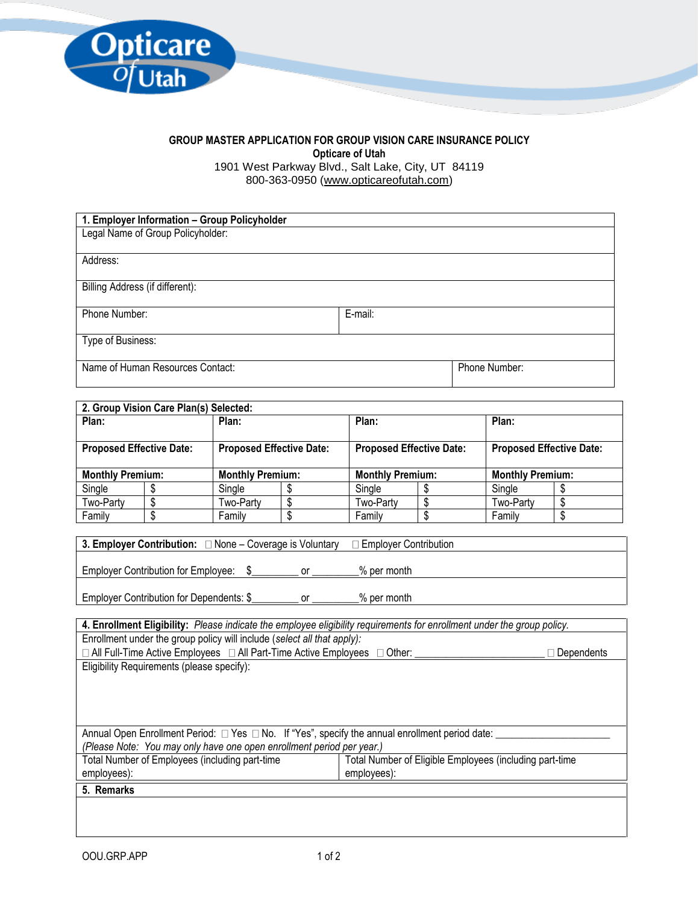

## **GROUP MASTER APPLICATION FOR GROUP VISION CARE INSURANCE POLICY Opticare of Utah**

1901 West Parkway Blvd., Salt Lake, City, UT 84119 800-363-0950 [\(www.opticareofutah.com\)](http://www.opticareofutah.com/)

| 1. Employer Information - Group Policyholder |         |               |
|----------------------------------------------|---------|---------------|
| Legal Name of Group Policyholder:            |         |               |
|                                              |         |               |
| Address:                                     |         |               |
|                                              |         |               |
| Billing Address (if different):              |         |               |
| Phone Number:                                | E-mail: |               |
|                                              |         |               |
| Type of Business:                            |         |               |
|                                              |         |               |
| Name of Human Resources Contact:             |         | Phone Number: |
|                                              |         |               |

| 2. Group Vision Care Plan(s) Selected:                             |  |                                 |  |                                 |  |                         |  |
|--------------------------------------------------------------------|--|---------------------------------|--|---------------------------------|--|-------------------------|--|
| Plan:                                                              |  | Plan:                           |  | Plan:                           |  | Plan:                   |  |
| <b>Proposed Effective Date:</b><br><b>Proposed Effective Date:</b> |  | <b>Proposed Effective Date:</b> |  | <b>Proposed Effective Date:</b> |  |                         |  |
| <b>Monthly Premium:</b>                                            |  | <b>Monthly Premium:</b>         |  | <b>Monthly Premium:</b>         |  | <b>Monthly Premium:</b> |  |
| Single                                                             |  | Single                          |  | Single                          |  | Single                  |  |
| Two-Party                                                          |  | Two-Party                       |  | Two-Party                       |  | Two-Party               |  |
| Family                                                             |  | Family                          |  | Family                          |  | Family                  |  |

| <b>3. Employer Contribution:</b> $\Box$ None – Coverage is Voluntary | $\Box$ Emplover Contribution |
|----------------------------------------------------------------------|------------------------------|
| <b>Employer Contribution for Employee:</b>                           | % per month                  |
| Employer Contribution for Dependents: \$                             | % per month                  |

| 4. Enrollment Eligibility: Please indicate the employee eligibility requirements for enrollment under the group policy. |                                                         |  |
|-------------------------------------------------------------------------------------------------------------------------|---------------------------------------------------------|--|
| Enrollment under the group policy will include (select all that apply):                                                 |                                                         |  |
| □ All Full-Time Active Employees □ All Part-Time Active Employees □ Other:<br>Dependents                                |                                                         |  |
| Eligibility Requirements (please specify):                                                                              |                                                         |  |
|                                                                                                                         |                                                         |  |
|                                                                                                                         |                                                         |  |
|                                                                                                                         |                                                         |  |
|                                                                                                                         |                                                         |  |
| Annual Open Enrollment Period: $\Box$ Yes $\Box$ No. If "Yes", specify the annual enrollment period date:               |                                                         |  |
| (Please Note: You may only have one open enrollment period per year.)                                                   |                                                         |  |
| Total Number of Employees (including part-time                                                                          | Total Number of Eligible Employees (including part-time |  |
| employees):                                                                                                             | employees):                                             |  |
| 5. Remarks                                                                                                              |                                                         |  |
|                                                                                                                         |                                                         |  |